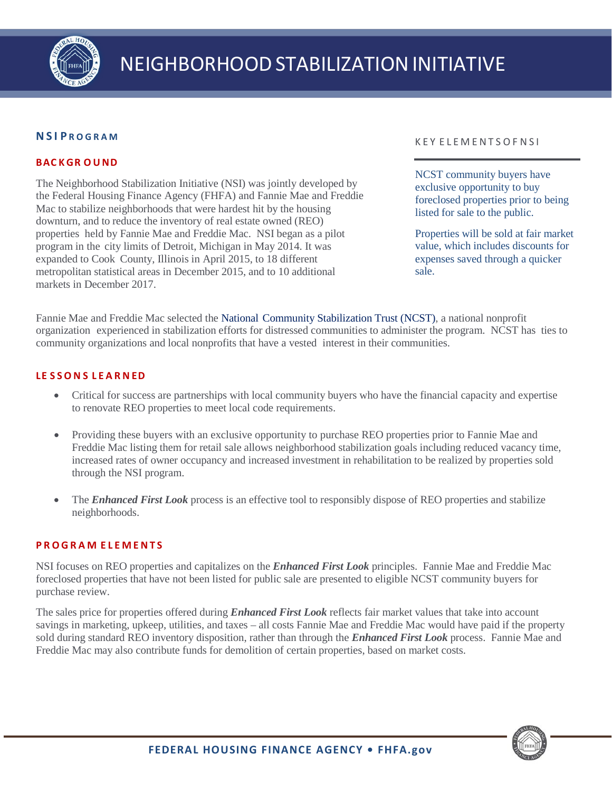

# **N S I P R O G R A M**

# **BAC KGR O UND**

The Neighborhood Stabilization Initiative (NSI) was jointly developed by the Federal Housing Finance Agency (FHFA) and Fannie Mae and Freddie Mac to stabilize neighborhoods that were hardest hit by the housing downturn, and to reduce the inventory of real estate owned (REO) properties held by Fannie Mae and Freddie Mac. NSI began as a pilot program in the city limits of Detroit, Michigan in May 2014. It was expanded to Cook County, Illinois in April 2015, to 18 different metropolitan statistical areas in December 2015, and to 10 additional markets in December 2017.

### K E Y E L E M E NT S O F N S I

NCST community buyers have exclusive opportunity to buy foreclosed properties prior to being listed for sale to the public.

Properties will be sold at fair market value, which includes discounts for expenses saved through a quicker sale.

Fannie Mae and Freddie Mac selected the [National](http://www.stabilizationtrust.com/) Community [Stabilization](http://www.stabilizationtrust.com/) Trust (NCST), a national nonprofit organization experienced in stabilization efforts for distressed communities to administer the program. NCST has ties to community organizations and local nonprofits that have a vested interest in their communities.

## **LE S SO N S L E A R N ED**

- Critical for success are partnerships with local community buyers who have the financial capacity and expertise to renovate REO properties to meet local code requirements.
- Providing these buyers with an exclusive opportunity to purchase REO properties prior to Fannie Mae and Freddie Mac listing them for retail sale allows neighborhood stabilization goals including reduced vacancy time, increased rates of owner occupancy and increased investment in rehabilitation to be realized by properties sold through the NSI program.
- The *Enhanced First Look* process is an effective tool to responsibly dispose of REO properties and stabilize neighborhoods.

### **P R OG R A M E L E M E N T S**

NSI focuses on REO properties and capitalizes on the *Enhanced First Look* principles. Fannie Mae and Freddie Mac foreclosed properties that have not been listed for public sale are presented to eligible NCST community buyers for purchase review.

The sales price for properties offered during *Enhanced First Look* reflects fair market values that take into account savings in marketing, upkeep, utilities, and taxes – all costs Fannie Mae and Freddie Mac would have paid if the property sold during standard REO inventory disposition, rather than through the *Enhanced First Look* process. Fannie Mae and Freddie Mac may also contribute funds for demolition of certain properties, based on market costs.